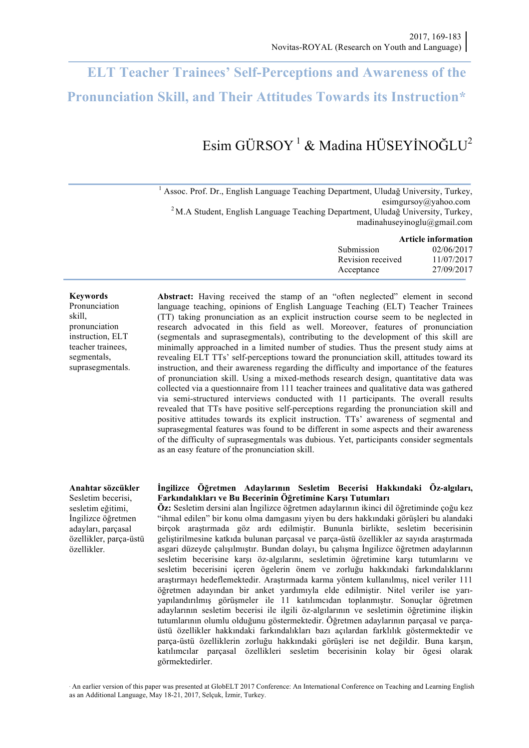# **ELT Teacher Trainees' Self-Perceptions and Awareness of the Pronunciation Skill, and Their Attitudes Towards its Instruction\***

# Esim GÜRSOY<sup>1</sup> & Madina HÜSEYİNOĞLU<sup>2</sup>

<sup>1</sup> Assoc. Prof. Dr., English Language Teaching Department, Uludağ University, Turkey, <sup>2</sup> M.A Student, English Language Teaching Department, Uludağ University, Turkey, madinahuseyinoglu@gmail.com

|                   | <b>Article information</b> |
|-------------------|----------------------------|
| Submission        | 02/06/2017                 |
| Revision received | 11/07/2017                 |
| Acceptance        | 27/09/2017                 |
|                   |                            |

#### **Keywords**

Pronunciation skill, pronunciation instruction, ELT teacher trainees, segmentals, suprasegmentals.

Abstract: Having received the stamp of an "often neglected" element in second language teaching, opinions of English Language Teaching (ELT) Teacher Trainees (TT) taking pronunciation as an explicit instruction course seem to be neglected in research advocated in this field as well. Moreover, features of pronunciation (segmentals and suprasegmentals), contributing to the development of this skill are minimally approached in a limited number of studies. Thus the present study aims at revealing ELT TTs' self-perceptions toward the pronunciation skill, attitudes toward its instruction, and their awareness regarding the difficulty and importance of the features of pronunciation skill. Using a mixed-methods research design, quantitative data was collected via a questionnaire from 111 teacher trainees and qualitative data was gathered via semi-structured interviews conducted with 11 participants. The overall results revealed that TTs have positive self-perceptions regarding the pronunciation skill and positive attitudes towards its explicit instruction. TTs' awareness of segmental and suprasegmental features was found to be different in some aspects and their awareness of the difficulty of suprasegmentals was dubious. Yet, participants consider segmentals as an easy feature of the pronunciation skill.

#### **Anahtar sözcükler**

Sesletim becerisi, sesletim eğitimi, İngilizce öğretmen adayları, parçasal özellikler, parça-üstü özellikler.

#### **İngilizce Öğretmen Adaylarının Sesletim Becerisi Hakkındaki Öz-algıları, Farkındalıkları ve Bu Becerinin Öğretimine Karşı Tutumları**

**Öz:** Sesletim dersini alan İngilizce öğretmen adaylarının ikinci dil öğretiminde çoğu kez "ihmal edilen" bir konu olma damgasını yiyen bu ders hakkındaki görüşleri bu alandaki birçok araştırmada göz ardı edilmiştir. Bununla birlikte, sesletim becerisinin geliştirilmesine katkıda bulunan parçasal ve parça-üstü özellikler az sayıda araştırmada asgari düzeyde çalışılmıştır. Bundan dolayı, bu çalışma İngilizce öğretmen adaylarının sesletim becerisine karşı öz-algılarını, sesletimin öğretimine karşı tutumlarını ve sesletim becerisini içeren ögelerin önem ve zorluğu hakkındaki farkındalıklarını araştırmayı hedeflemektedir. Araştırmada karma yöntem kullanılmış, nicel veriler 111 öğretmen adayından bir anket yardımıyla elde edilmiştir. Nitel veriler ise yarıyapılandırılmış görüşmeler ile 11 katılımcıdan toplanmıştır. Sonuçlar öğretmen adaylarının sesletim becerisi ile ilgili öz-algılarının ve sesletimin öğretimine ilişkin tutumlarının olumlu olduğunu göstermektedir. Öğretmen adaylarının parçasal ve parçaüstü özellikler hakkındaki farkındalıkları bazı açılardan farklılık göstermektedir ve parça-üstü özelliklerin zorluğu hakkındaki görüşleri ise net değildir. Buna karşın, katılımcılar parçasal özellikleri sesletim becerisinin kolay bir ögesi olarak görmektedirler.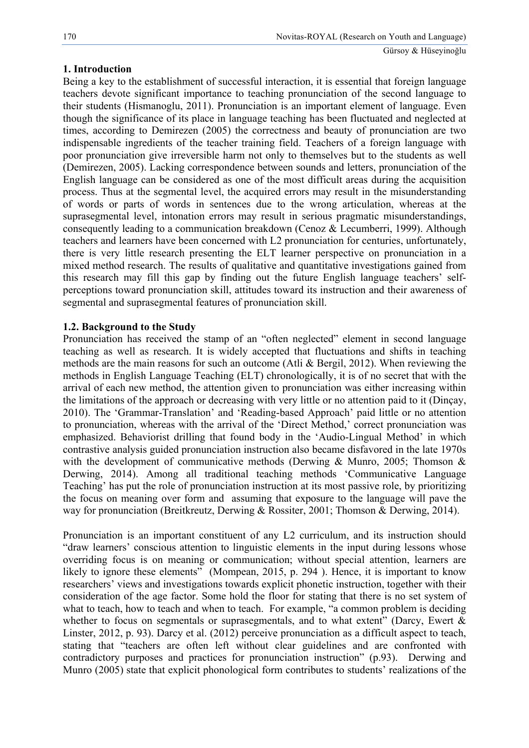# **1. Introduction**

Being a key to the establishment of successful interaction, it is essential that foreign language teachers devote significant importance to teaching pronunciation of the second language to their students (Hismanoglu, 2011). Pronunciation is an important element of language. Even though the significance of its place in language teaching has been fluctuated and neglected at times, according to Demirezen (2005) the correctness and beauty of pronunciation are two indispensable ingredients of the teacher training field. Teachers of a foreign language with poor pronunciation give irreversible harm not only to themselves but to the students as well (Demirezen, 2005). Lacking correspondence between sounds and letters, pronunciation of the English language can be considered as one of the most difficult areas during the acquisition process. Thus at the segmental level, the acquired errors may result in the misunderstanding of words or parts of words in sentences due to the wrong articulation, whereas at the suprasegmental level, intonation errors may result in serious pragmatic misunderstandings, consequently leading to a communication breakdown (Cenoz & Lecumberri, 1999). Although teachers and learners have been concerned with L2 pronunciation for centuries, unfortunately, there is very little research presenting the ELT learner perspective on pronunciation in a mixed method research. The results of qualitative and quantitative investigations gained from this research may fill this gap by finding out the future English language teachers' selfperceptions toward pronunciation skill, attitudes toward its instruction and their awareness of segmental and suprasegmental features of pronunciation skill.

# **1.2. Background to the Study**

Pronunciation has received the stamp of an "often neglected" element in second language teaching as well as research. It is widely accepted that fluctuations and shifts in teaching methods are the main reasons for such an outcome (Atli & Bergil, 2012). When reviewing the methods in English Language Teaching (ELT) chronologically, it is of no secret that with the arrival of each new method, the attention given to pronunciation was either increasing within the limitations of the approach or decreasing with very little or no attention paid to it (Dinçay, 2010). The 'Grammar-Translation' and 'Reading-based Approach' paid little or no attention to pronunciation, whereas with the arrival of the 'Direct Method,' correct pronunciation was emphasized. Behaviorist drilling that found body in the 'Audio-Lingual Method' in which contrastive analysis guided pronunciation instruction also became disfavored in the late 1970s with the development of communicative methods (Derwing  $\&$  Munro, 2005; Thomson  $\&$ Derwing, 2014). Among all traditional teaching methods 'Communicative Language Teaching' has put the role of pronunciation instruction at its most passive role, by prioritizing the focus on meaning over form and assuming that exposure to the language will pave the way for pronunciation (Breitkreutz, Derwing & Rossiter, 2001; Thomson & Derwing, 2014).

Pronunciation is an important constituent of any L2 curriculum, and its instruction should "draw learners' conscious attention to linguistic elements in the input during lessons whose overriding focus is on meaning or communication; without special attention, learners are likely to ignore these elements" (Mompean, 2015, p. 294). Hence, it is important to know researchers' views and investigations towards explicit phonetic instruction, together with their consideration of the age factor. Some hold the floor for stating that there is no set system of what to teach, how to teach and when to teach. For example, "a common problem is deciding whether to focus on segmentals or suprasegmentals, and to what extent" (Darcy, Ewert  $\&$ Linster, 2012, p. 93). Darcy et al. (2012) perceive pronunciation as a difficult aspect to teach, stating that "teachers are often left without clear guidelines and are confronted with contradictory purposes and practices for pronunciation instruction" (p.93). Derwing and Munro (2005) state that explicit phonological form contributes to students' realizations of the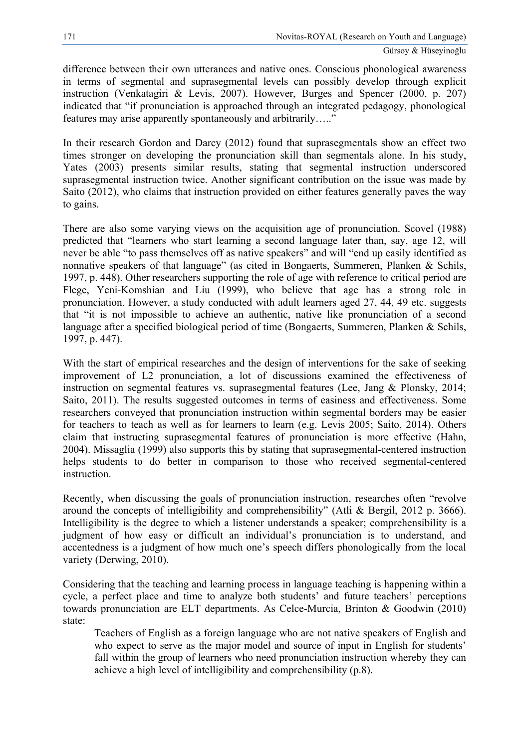difference between their own utterances and native ones. Conscious phonological awareness in terms of segmental and suprasegmental levels can possibly develop through explicit instruction (Venkatagiri & Levis, 2007). However, Burges and Spencer (2000, p. 207) indicated that "if pronunciation is approached through an integrated pedagogy, phonological features may arise apparently spontaneously and arbitrarily….."

In their research Gordon and Darcy (2012) found that suprasegmentals show an effect two times stronger on developing the pronunciation skill than segmentals alone. In his study, Yates (2003) presents similar results, stating that segmental instruction underscored suprasegmental instruction twice. Another significant contribution on the issue was made by Saito (2012), who claims that instruction provided on either features generally paves the way to gains.

There are also some varying views on the acquisition age of pronunciation. Scovel (1988) predicted that "learners who start learning a second language later than, say, age 12, will never be able "to pass themselves off as native speakers" and will "end up easily identified as nonnative speakers of that language" (as cited in Bongaerts, Summeren, Planken & Schils, 1997, p. 448). Other researchers supporting the role of age with reference to critical period are Flege, Yeni-Komshian and Liu (1999), who believe that age has a strong role in pronunciation. However, a study conducted with adult learners aged 27, 44, 49 etc. suggests that "it is not impossible to achieve an authentic, native like pronunciation of a second language after a specified biological period of time (Bongaerts, Summeren, Planken & Schils, 1997, p. 447).

With the start of empirical researches and the design of interventions for the sake of seeking improvement of L2 pronunciation, a lot of discussions examined the effectiveness of instruction on segmental features vs. suprasegmental features (Lee, Jang & Plonsky, 2014; Saito, 2011). The results suggested outcomes in terms of easiness and effectiveness. Some researchers conveyed that pronunciation instruction within segmental borders may be easier for teachers to teach as well as for learners to learn (e.g. Levis 2005; Saito, 2014). Others claim that instructing suprasegmental features of pronunciation is more effective (Hahn, 2004). Missaglia (1999) also supports this by stating that suprasegmental-centered instruction helps students to do better in comparison to those who received segmental-centered instruction.

Recently, when discussing the goals of pronunciation instruction, researches often "revolve around the concepts of intelligibility and comprehensibility" (Atli & Bergil, 2012 p. 3666). Intelligibility is the degree to which a listener understands a speaker; comprehensibility is a judgment of how easy or difficult an individual's pronunciation is to understand, and accentedness is a judgment of how much one's speech differs phonologically from the local variety (Derwing, 2010).

Considering that the teaching and learning process in language teaching is happening within a cycle, a perfect place and time to analyze both students' and future teachers' perceptions towards pronunciation are ELT departments. As Celce-Murcia, Brinton & Goodwin (2010) state:

Teachers of English as a foreign language who are not native speakers of English and who expect to serve as the major model and source of input in English for students' fall within the group of learners who need pronunciation instruction whereby they can achieve a high level of intelligibility and comprehensibility (p.8).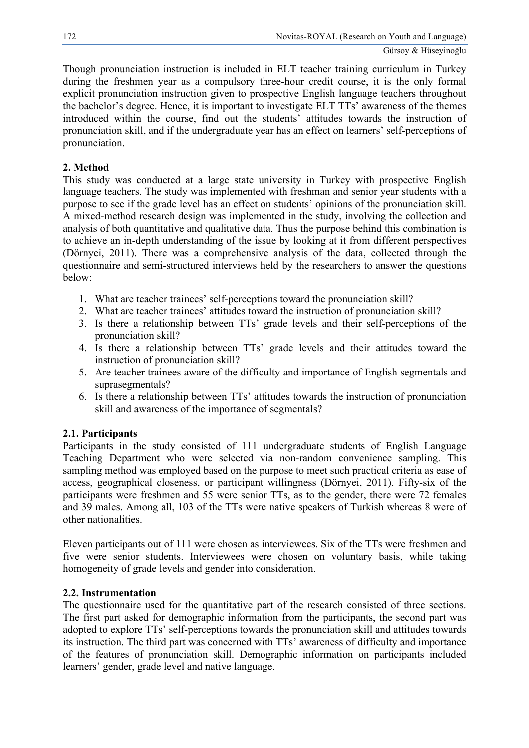Though pronunciation instruction is included in ELT teacher training curriculum in Turkey during the freshmen year as a compulsory three-hour credit course, it is the only formal explicit pronunciation instruction given to prospective English language teachers throughout the bachelor's degree. Hence, it is important to investigate ELT TTs' awareness of the themes introduced within the course, find out the students' attitudes towards the instruction of pronunciation skill, and if the undergraduate year has an effect on learners' self-perceptions of pronunciation.

# **2. Method**

This study was conducted at a large state university in Turkey with prospective English language teachers. The study was implemented with freshman and senior year students with a purpose to see if the grade level has an effect on students' opinions of the pronunciation skill. A mixed-method research design was implemented in the study, involving the collection and analysis of both quantitative and qualitative data. Thus the purpose behind this combination is to achieve an in-depth understanding of the issue by looking at it from different perspectives (Dörnyei, 2011). There was a comprehensive analysis of the data, collected through the questionnaire and semi-structured interviews held by the researchers to answer the questions below:

- 1. What are teacher trainees' self-perceptions toward the pronunciation skill?
- 2. What are teacher trainees' attitudes toward the instruction of pronunciation skill?
- 3. Is there a relationship between TTs' grade levels and their self-perceptions of the pronunciation skill?
- 4. Is there a relationship between TTs' grade levels and their attitudes toward the instruction of pronunciation skill?
- 5. Are teacher trainees aware of the difficulty and importance of English segmentals and suprasegmentals?
- 6. Is there a relationship between TTs' attitudes towards the instruction of pronunciation skill and awareness of the importance of segmentals?

# **2.1. Participants**

Participants in the study consisted of 111 undergraduate students of English Language Teaching Department who were selected via non-random convenience sampling. This sampling method was employed based on the purpose to meet such practical criteria as ease of access, geographical closeness, or participant willingness (Dörnyei, 2011). Fifty-six of the participants were freshmen and 55 were senior TTs, as to the gender, there were 72 females and 39 males. Among all, 103 of the TTs were native speakers of Turkish whereas 8 were of other nationalities.

Eleven participants out of 111 were chosen as interviewees. Six of the TTs were freshmen and five were senior students. Interviewees were chosen on voluntary basis, while taking homogeneity of grade levels and gender into consideration.

# **2.2. Instrumentation**

The questionnaire used for the quantitative part of the research consisted of three sections. The first part asked for demographic information from the participants, the second part was adopted to explore TTs' self-perceptions towards the pronunciation skill and attitudes towards its instruction. The third part was concerned with TTs' awareness of difficulty and importance of the features of pronunciation skill. Demographic information on participants included learners' gender, grade level and native language.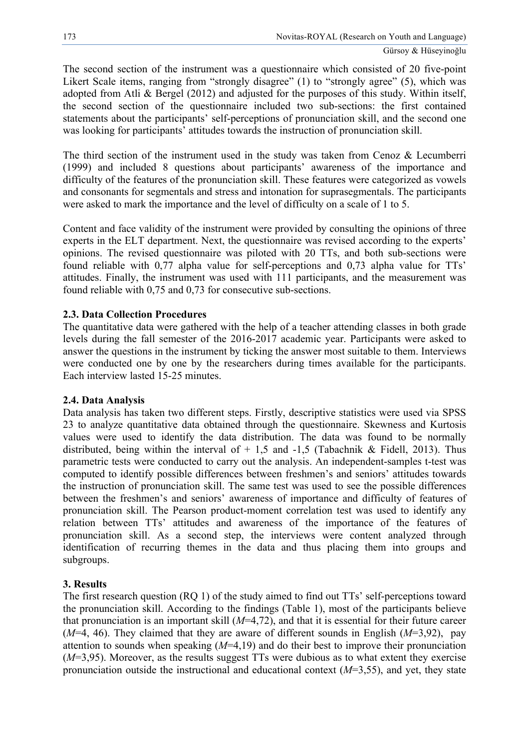The second section of the instrument was a questionnaire which consisted of 20 five-point Likert Scale items, ranging from "strongly disagree" (1) to "strongly agree" (5), which was adopted from Atli & Bergel (2012) and adjusted for the purposes of this study. Within itself, the second section of the questionnaire included two sub-sections: the first contained statements about the participants' self-perceptions of pronunciation skill, and the second one was looking for participants' attitudes towards the instruction of pronunciation skill.

The third section of the instrument used in the study was taken from Cenoz & Lecumberri (1999) and included 8 questions about participants' awareness of the importance and difficulty of the features of the pronunciation skill. These features were categorized as vowels and consonants for segmentals and stress and intonation for suprasegmentals. The participants were asked to mark the importance and the level of difficulty on a scale of 1 to 5.

Content and face validity of the instrument were provided by consulting the opinions of three experts in the ELT department. Next, the questionnaire was revised according to the experts' opinions. The revised questionnaire was piloted with 20 TTs, and both sub-sections were found reliable with 0,77 alpha value for self-perceptions and 0,73 alpha value for TTs' attitudes. Finally, the instrument was used with 111 participants, and the measurement was found reliable with 0,75 and 0,73 for consecutive sub-sections.

# **2.3. Data Collection Procedures**

The quantitative data were gathered with the help of a teacher attending classes in both grade levels during the fall semester of the 2016-2017 academic year. Participants were asked to answer the questions in the instrument by ticking the answer most suitable to them. Interviews were conducted one by one by the researchers during times available for the participants. Each interview lasted 15-25 minutes.

# **2.4. Data Analysis**

Data analysis has taken two different steps. Firstly, descriptive statistics were used via SPSS 23 to analyze quantitative data obtained through the questionnaire. Skewness and Kurtosis values were used to identify the data distribution. The data was found to be normally distributed, being within the interval of  $+ 1.5$  and  $-1.5$  (Tabachnik & Fidell, 2013). Thus parametric tests were conducted to carry out the analysis. An independent-samples t-test was computed to identify possible differences between freshmen's and seniors' attitudes towards the instruction of pronunciation skill. The same test was used to see the possible differences between the freshmen's and seniors' awareness of importance and difficulty of features of pronunciation skill. The Pearson product-moment correlation test was used to identify any relation between TTs' attitudes and awareness of the importance of the features of pronunciation skill. As a second step, the interviews were content analyzed through identification of recurring themes in the data and thus placing them into groups and subgroups.

# **3. Results**

The first research question (RQ 1) of the study aimed to find out TTs' self-perceptions toward the pronunciation skill. According to the findings (Table 1), most of the participants believe that pronunciation is an important skill (*M*=4,72), and that it is essential for their future career (*M*=4, 46). They claimed that they are aware of different sounds in English (*M*=3,92), pay attention to sounds when speaking (*M*=4,19) and do their best to improve their pronunciation (*M*=3,95). Moreover, as the results suggest TTs were dubious as to what extent they exercise pronunciation outside the instructional and educational context (*M*=3,55), and yet, they state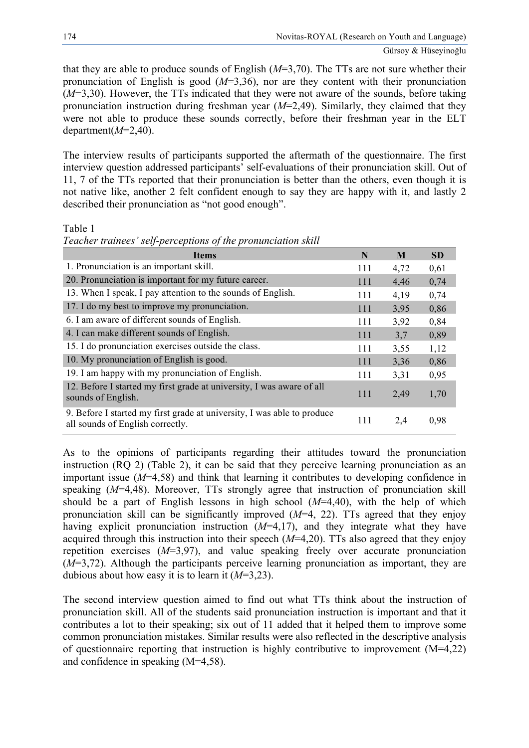that they are able to produce sounds of English (*M*=3,70). The TTs are not sure whether their pronunciation of English is good (*M*=3,36), nor are they content with their pronunciation (*M*=3,30). However, the TTs indicated that they were not aware of the sounds, before taking pronunciation instruction during freshman year (*M*=2,49). Similarly, they claimed that they were not able to produce these sounds correctly, before their freshman year in the ELT department(*M*=2,40).

The interview results of participants supported the aftermath of the questionnaire. The first interview question addressed participants' self-evaluations of their pronunciation skill. Out of 11, 7 of the TTs reported that their pronunciation is better than the others, even though it is not native like, another 2 felt confident enough to say they are happy with it, and lastly 2 described their pronunciation as "not good enough".

Table 1

| <b>Items</b>                                                                                                | N   | M    | <b>SD</b> |
|-------------------------------------------------------------------------------------------------------------|-----|------|-----------|
| 1. Pronunciation is an important skill.                                                                     | 111 | 4,72 | 0,61      |
| 20. Pronunciation is important for my future career.                                                        | 111 | 4,46 | 0,74      |
| 13. When I speak, I pay attention to the sounds of English.                                                 | 111 | 4,19 | 0,74      |
| 17. I do my best to improve my pronunciation.                                                               | 111 | 3,95 | 0,86      |
| 6. I am aware of different sounds of English.                                                               | 111 | 3,92 | 0,84      |
| 4. I can make different sounds of English.                                                                  | 111 | 3,7  | 0,89      |
| 15. I do pronunciation exercises outside the class.                                                         | 111 | 3,55 | 1,12      |
| 10. My pronunciation of English is good.                                                                    | 111 | 3,36 | 0,86      |
| 19. I am happy with my pronunciation of English.                                                            | 111 | 3,31 | 0,95      |
| 12. Before I started my first grade at university, I was aware of all<br>sounds of English.                 | 111 | 2,49 | 1,70      |
| 9. Before I started my first grade at university, I was able to produce<br>all sounds of English correctly. | 111 | 2,4  | 0,98      |

*Teacher trainees' self-perceptions of the pronunciation skill*

As to the opinions of participants regarding their attitudes toward the pronunciation instruction (RQ 2) (Table 2), it can be said that they perceive learning pronunciation as an important issue (*M*=4,58) and think that learning it contributes to developing confidence in speaking (*M*=4,48). Moreover, TTs strongly agree that instruction of pronunciation skill should be a part of English lessons in high school (*M*=4,40), with the help of which pronunciation skill can be significantly improved  $(M=4, 22)$ . TTs agreed that they enjoy having explicit pronunciation instruction  $(M=4,17)$ , and they integrate what they have acquired through this instruction into their speech (*M*=4,20). TTs also agreed that they enjoy repetition exercises (*M*=3,97), and value speaking freely over accurate pronunciation (*M*=3,72). Although the participants perceive learning pronunciation as important, they are dubious about how easy it is to learn it (*M*=3,23).

The second interview question aimed to find out what TTs think about the instruction of pronunciation skill. All of the students said pronunciation instruction is important and that it contributes a lot to their speaking; six out of 11 added that it helped them to improve some common pronunciation mistakes. Similar results were also reflected in the descriptive analysis of questionnaire reporting that instruction is highly contributive to improvement (M=4,22) and confidence in speaking (M=4,58).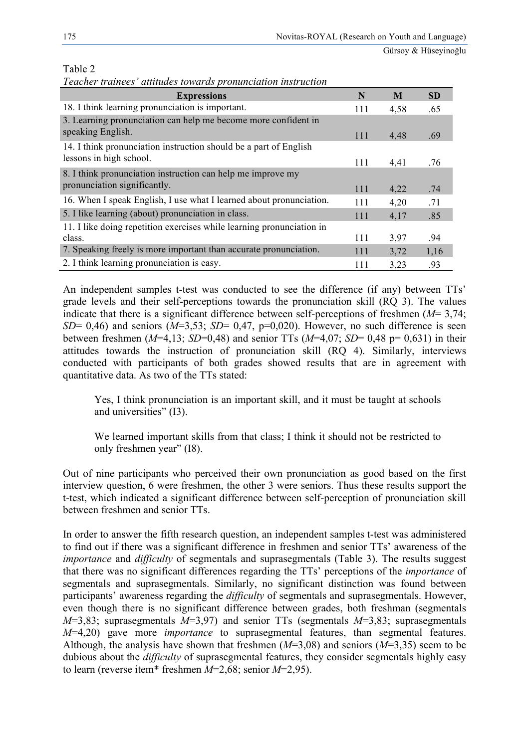Gürsoy & Hüseyinoğlu

| <b>Expressions</b>                                                                           | N   | M    | <b>SD</b> |
|----------------------------------------------------------------------------------------------|-----|------|-----------|
| 18. I think learning pronunciation is important.                                             | 111 | 4,58 | .65       |
| 3. Learning pronunciation can help me become more confident in<br>speaking English.          | 111 | 4,48 | .69       |
| 14. I think pronunciation instruction should be a part of English<br>lessons in high school. | 111 | 4,41 | .76       |
| 8. I think pronunciation instruction can help me improve my<br>pronunciation significantly.  | 111 | 4,22 | .74       |
| 16. When I speak English, I use what I learned about pronunciation.                          | 111 | 4,20 | .71       |
| 5. I like learning (about) pronunciation in class.                                           | 111 | 4,17 | .85       |
| 11. I like doing repetition exercises while learning pronunciation in                        |     |      |           |
| class.                                                                                       | 111 | 3,97 | .94       |
| 7. Speaking freely is more important than accurate pronunciation.                            | 111 | 3,72 | 1,16      |
| 2. I think learning pronunciation is easy.                                                   | 111 | 3.23 | .93       |

An independent samples t-test was conducted to see the difference (if any) between TTs' grade levels and their self-perceptions towards the pronunciation skill (RQ 3). The values indicate that there is a significant difference between self-perceptions of freshmen (*M*= 3,74; *SD*= 0,46) and seniors  $(M=3.53; SD= 0.47, p=0.020)$ . However, no such difference is seen between freshmen ( $M=4,13$ ;  $SD=0.48$ ) and senior TTs ( $M=4,07$ ;  $SD=0.48$  p= 0,631) in their attitudes towards the instruction of pronunciation skill (RQ 4). Similarly, interviews conducted with participants of both grades showed results that are in agreement with quantitative data. As two of the TTs stated:

Yes, I think pronunciation is an important skill, and it must be taught at schools and universities" (I3).

We learned important skills from that class; I think it should not be restricted to only freshmen year" (I8).

Out of nine participants who perceived their own pronunciation as good based on the first interview question, 6 were freshmen, the other 3 were seniors. Thus these results support the t-test, which indicated a significant difference between self-perception of pronunciation skill between freshmen and senior TTs.

In order to answer the fifth research question, an independent samples t-test was administered to find out if there was a significant difference in freshmen and senior TTs' awareness of the *importance* and *difficulty* of segmentals and suprasegmentals (Table 3). The results suggest that there was no significant differences regarding the TTs' perceptions of the *importance* of segmentals and suprasegmentals. Similarly, no significant distinction was found between participants' awareness regarding the *difficulty* of segmentals and suprasegmentals. However, even though there is no significant difference between grades, both freshman (segmentals *M*=3,83; suprasegmentals *M*=3,97) and senior TTs (segmentals *M*=3,83; suprasegmentals *M*=4,20) gave more *importance* to suprasegmental features, than segmental features. Although, the analysis have shown that freshmen (*M*=3,08) and seniors (*M*=3,35) seem to be dubious about the *difficulty* of suprasegmental features, they consider segmentals highly easy to learn (reverse item\* freshmen *M*=2,68; senior *M*=2,95).

### Table 2

*Teacher trainees' attitudes towards pronunciation instruction*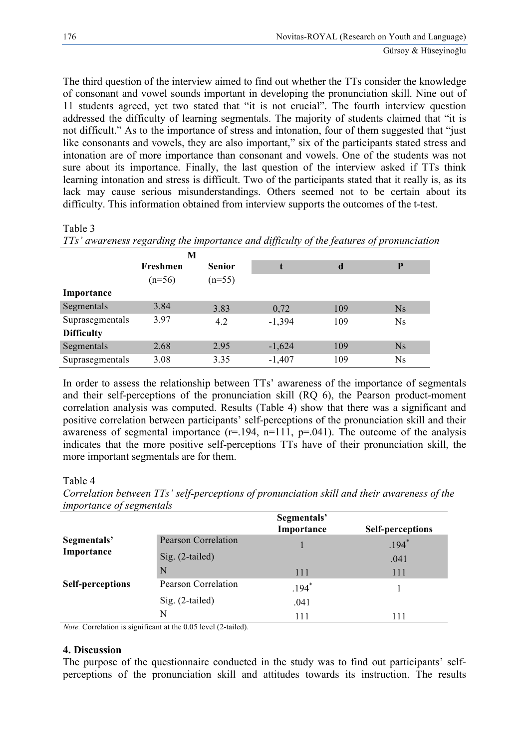The third question of the interview aimed to find out whether the TTs consider the knowledge of consonant and vowel sounds important in developing the pronunciation skill. Nine out of 11 students agreed, yet two stated that "it is not crucial". The fourth interview question addressed the difficulty of learning segmentals. The majority of students claimed that "it is not difficult." As to the importance of stress and intonation, four of them suggested that "just like consonants and vowels, they are also important," six of the participants stated stress and intonation are of more importance than consonant and vowels. One of the students was not sure about its importance. Finally, the last question of the interview asked if TTs think learning intonation and stress is difficult. Two of the participants stated that it really is, as its lack may cause serious misunderstandings. Others seemed not to be certain about its difficulty. This information obtained from interview supports the outcomes of the t-test.

# Table 3

*TTs' awareness regarding the importance and difficulty of the features of pronunciation*

|                   | M        |               |          |     |           |
|-------------------|----------|---------------|----------|-----|-----------|
|                   | Freshmen | <b>Senior</b> |          | d   | P         |
|                   | $(n=56)$ | $(n=55)$      |          |     |           |
| Importance        |          |               |          |     |           |
| Segmentals        | 3.84     | 3.83          | 0,72     | 109 | <b>Ns</b> |
| Suprasegmentals   | 3.97     | 4.2           | $-1,394$ | 109 | <b>Ns</b> |
| <b>Difficulty</b> |          |               |          |     |           |
| Segmentals        | 2.68     | 2.95          | $-1,624$ | 109 | <b>Ns</b> |
| Suprasegmentals   | 3.08     | 3.35          | $-1,407$ | 109 | <b>Ns</b> |

In order to assess the relationship between TTs' awareness of the importance of segmentals and their self-perceptions of the pronunciation skill (RQ 6), the Pearson product-moment correlation analysis was computed. Results (Table 4) show that there was a significant and positive correlation between participants' self-perceptions of the pronunciation skill and their awareness of segmental importance  $(r=194, n=111, p=.041)$ . The outcome of the analysis indicates that the more positive self-perceptions TTs have of their pronunciation skill, the more important segmentals are for them.

# Table 4

*Correlation between TTs' self-perceptions of pronunciation skill and their awareness of the importance of segmentals*

|                         |                            | Segmentals'<br>Importance | <b>Self-perceptions</b> |
|-------------------------|----------------------------|---------------------------|-------------------------|
| Segmentals'             | <b>Pearson Correlation</b> |                           | $.194*$                 |
| Importance              | $Sig. (2-tailed)$          |                           | .041                    |
|                         | N                          | 111                       | 111                     |
| <b>Self-perceptions</b> | Pearson Correlation        | $.194*$                   |                         |
|                         | $Sig. (2-tailed)$          | .041                      |                         |
|                         | N                          | 111                       | 111                     |

*Note.* Correlation is significant at the 0.05 level (2-tailed).

## **4. Discussion**

The purpose of the questionnaire conducted in the study was to find out participants' selfperceptions of the pronunciation skill and attitudes towards its instruction. The results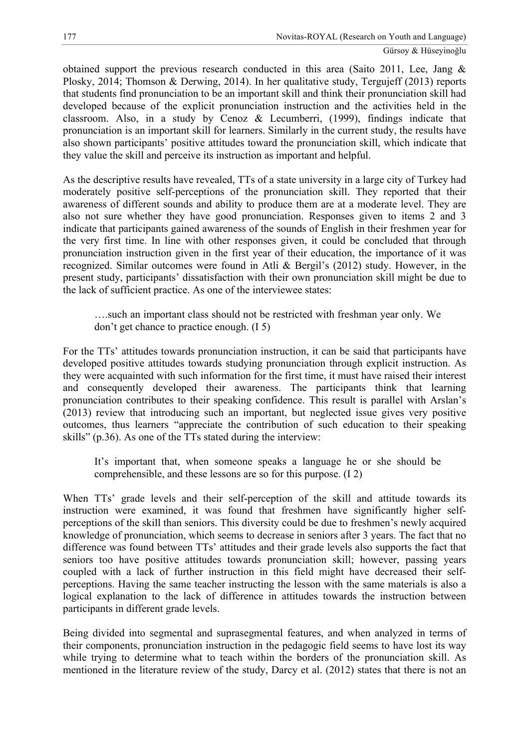obtained support the previous research conducted in this area (Saito 2011, Lee, Jang & Plosky, 2014; Thomson & Derwing, 2014). In her qualitative study, Tergujeff (2013) reports that students find pronunciation to be an important skill and think their pronunciation skill had developed because of the explicit pronunciation instruction and the activities held in the classroom. Also, in a study by Cenoz & Lecumberri, (1999), findings indicate that pronunciation is an important skill for learners. Similarly in the current study, the results have also shown participants' positive attitudes toward the pronunciation skill, which indicate that they value the skill and perceive its instruction as important and helpful.

As the descriptive results have revealed, TTs of a state university in a large city of Turkey had moderately positive self-perceptions of the pronunciation skill. They reported that their awareness of different sounds and ability to produce them are at a moderate level. They are also not sure whether they have good pronunciation. Responses given to items 2 and 3 indicate that participants gained awareness of the sounds of English in their freshmen year for the very first time. In line with other responses given, it could be concluded that through pronunciation instruction given in the first year of their education, the importance of it was recognized. Similar outcomes were found in Atli & Bergil's (2012) study. However, in the present study, participants' dissatisfaction with their own pronunciation skill might be due to the lack of sufficient practice. As one of the interviewee states:

….such an important class should not be restricted with freshman year only. We don't get chance to practice enough. (I 5)

For the TTs' attitudes towards pronunciation instruction, it can be said that participants have developed positive attitudes towards studying pronunciation through explicit instruction. As they were acquainted with such information for the first time, it must have raised their interest and consequently developed their awareness. The participants think that learning pronunciation contributes to their speaking confidence. This result is parallel with Arslan's (2013) review that introducing such an important, but neglected issue gives very positive outcomes, thus learners "appreciate the contribution of such education to their speaking skills" (p.36). As one of the TTs stated during the interview:

It's important that, when someone speaks a language he or she should be comprehensible, and these lessons are so for this purpose. (I 2)

When TTs' grade levels and their self-perception of the skill and attitude towards its instruction were examined, it was found that freshmen have significantly higher selfperceptions of the skill than seniors. This diversity could be due to freshmen's newly acquired knowledge of pronunciation, which seems to decrease in seniors after 3 years. The fact that no difference was found between TTs' attitudes and their grade levels also supports the fact that seniors too have positive attitudes towards pronunciation skill; however, passing years coupled with a lack of further instruction in this field might have decreased their selfperceptions. Having the same teacher instructing the lesson with the same materials is also a logical explanation to the lack of difference in attitudes towards the instruction between participants in different grade levels.

Being divided into segmental and suprasegmental features, and when analyzed in terms of their components, pronunciation instruction in the pedagogic field seems to have lost its way while trying to determine what to teach within the borders of the pronunciation skill. As mentioned in the literature review of the study, Darcy et al. (2012) states that there is not an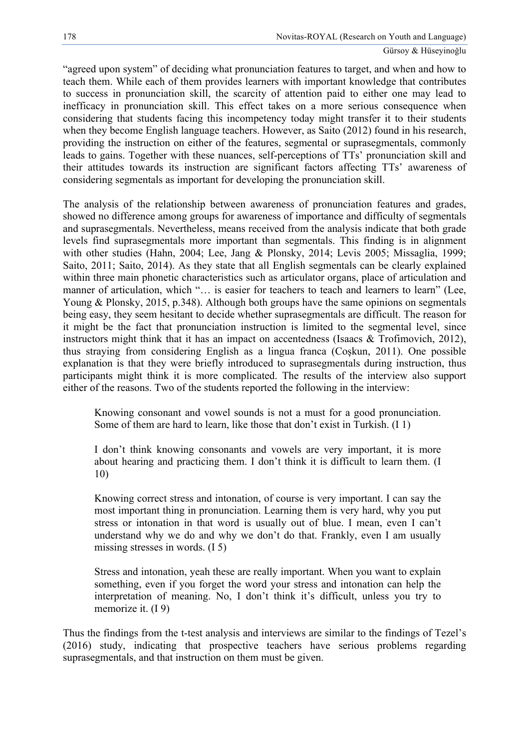"agreed upon system" of deciding what pronunciation features to target, and when and how to teach them. While each of them provides learners with important knowledge that contributes to success in pronunciation skill, the scarcity of attention paid to either one may lead to inefficacy in pronunciation skill. This effect takes on a more serious consequence when considering that students facing this incompetency today might transfer it to their students when they become English language teachers. However, as Saito (2012) found in his research, providing the instruction on either of the features, segmental or suprasegmentals, commonly leads to gains. Together with these nuances, self-perceptions of TTs' pronunciation skill and their attitudes towards its instruction are significant factors affecting TTs' awareness of considering segmentals as important for developing the pronunciation skill.

The analysis of the relationship between awareness of pronunciation features and grades, showed no difference among groups for awareness of importance and difficulty of segmentals and suprasegmentals. Nevertheless, means received from the analysis indicate that both grade levels find suprasegmentals more important than segmentals. This finding is in alignment with other studies (Hahn, 2004; Lee, Jang & Plonsky, 2014; Levis 2005; Missaglia, 1999; Saito, 2011; Saito, 2014). As they state that all English segmentals can be clearly explained within three main phonetic characteristics such as articulator organs, place of articulation and manner of articulation, which "... is easier for teachers to teach and learners to learn" (Lee, Young & Plonsky, 2015, p.348). Although both groups have the same opinions on segmentals being easy, they seem hesitant to decide whether suprasegmentals are difficult. The reason for it might be the fact that pronunciation instruction is limited to the segmental level, since instructors might think that it has an impact on accentedness (Isaacs & Trofimovich, 2012), thus straying from considering English as a lingua franca (Coşkun, 2011). One possible explanation is that they were briefly introduced to suprasegmentals during instruction, thus participants might think it is more complicated. The results of the interview also support either of the reasons. Two of the students reported the following in the interview:

Knowing consonant and vowel sounds is not a must for a good pronunciation. Some of them are hard to learn, like those that don't exist in Turkish. (I 1)

I don't think knowing consonants and vowels are very important, it is more about hearing and practicing them. I don't think it is difficult to learn them. (I 10)

Knowing correct stress and intonation, of course is very important. I can say the most important thing in pronunciation. Learning them is very hard, why you put stress or intonation in that word is usually out of blue. I mean, even I can't understand why we do and why we don't do that. Frankly, even I am usually missing stresses in words. (I 5)

Stress and intonation, yeah these are really important. When you want to explain something, even if you forget the word your stress and intonation can help the interpretation of meaning. No, I don't think it's difficult, unless you try to memorize it. (19)

Thus the findings from the t-test analysis and interviews are similar to the findings of Tezel's (2016) study, indicating that prospective teachers have serious problems regarding suprasegmentals, and that instruction on them must be given.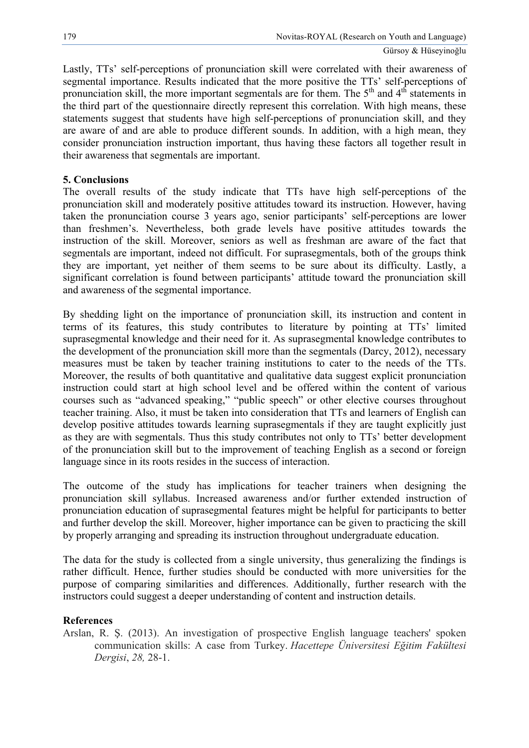Lastly, TTs' self-perceptions of pronunciation skill were correlated with their awareness of segmental importance. Results indicated that the more positive the TTs' self-perceptions of pronunciation skill, the more important segmentals are for them. The  $5<sup>th</sup>$  and  $4<sup>th</sup>$  statements in the third part of the questionnaire directly represent this correlation. With high means, these statements suggest that students have high self-perceptions of pronunciation skill, and they are aware of and are able to produce different sounds. In addition, with a high mean, they consider pronunciation instruction important, thus having these factors all together result in their awareness that segmentals are important.

## **5. Conclusions**

The overall results of the study indicate that TTs have high self-perceptions of the pronunciation skill and moderately positive attitudes toward its instruction. However, having taken the pronunciation course 3 years ago, senior participants' self-perceptions are lower than freshmen's. Nevertheless, both grade levels have positive attitudes towards the instruction of the skill. Moreover, seniors as well as freshman are aware of the fact that segmentals are important, indeed not difficult. For suprasegmentals, both of the groups think they are important, yet neither of them seems to be sure about its difficulty. Lastly, a significant correlation is found between participants' attitude toward the pronunciation skill and awareness of the segmental importance.

By shedding light on the importance of pronunciation skill, its instruction and content in terms of its features, this study contributes to literature by pointing at TTs' limited suprasegmental knowledge and their need for it. As suprasegmental knowledge contributes to the development of the pronunciation skill more than the segmentals (Darcy, 2012), necessary measures must be taken by teacher training institutions to cater to the needs of the TTs. Moreover, the results of both quantitative and qualitative data suggest explicit pronunciation instruction could start at high school level and be offered within the content of various courses such as "advanced speaking," "public speech" or other elective courses throughout teacher training. Also, it must be taken into consideration that TTs and learners of English can develop positive attitudes towards learning suprasegmentals if they are taught explicitly just as they are with segmentals. Thus this study contributes not only to TTs' better development of the pronunciation skill but to the improvement of teaching English as a second or foreign language since in its roots resides in the success of interaction.

The outcome of the study has implications for teacher trainers when designing the pronunciation skill syllabus. Increased awareness and/or further extended instruction of pronunciation education of suprasegmental features might be helpful for participants to better and further develop the skill. Moreover, higher importance can be given to practicing the skill by properly arranging and spreading its instruction throughout undergraduate education.

The data for the study is collected from a single university, thus generalizing the findings is rather difficult. Hence, further studies should be conducted with more universities for the purpose of comparing similarities and differences. Additionally, further research with the instructors could suggest a deeper understanding of content and instruction details.

## **References**

Arslan, R. Ş. (2013). An investigation of prospective English language teachers' spoken communication skills: A case from Turkey. *Hacettepe Üniversitesi Eğitim Fakültesi Dergisi*, *28,* 28-1.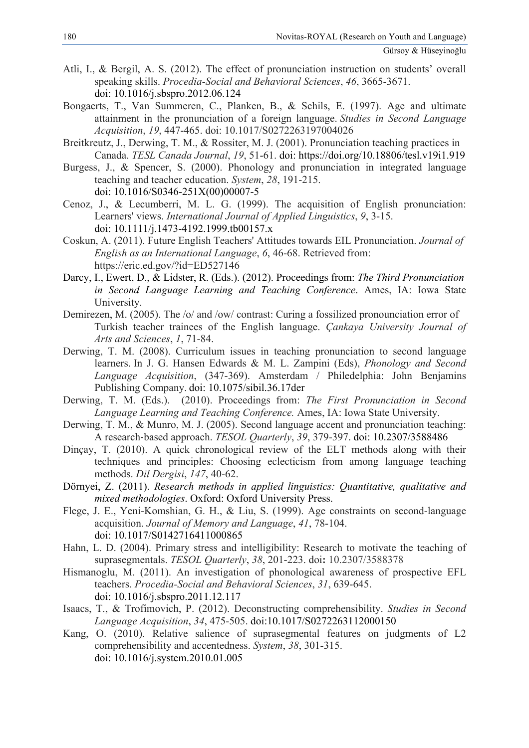- Atli, I., & Bergil, A. S. (2012). The effect of pronunciation instruction on students' overall speaking skills. *Procedia-Social and Behavioral Sciences*, *46*, 3665-3671. doi: 10.1016/j.sbspro.2012.06.124
- Bongaerts, T., Van Summeren, C., Planken, B., & Schils, E. (1997). Age and ultimate attainment in the pronunciation of a foreign language. *Studies in Second Language Acquisition*, *19*, 447-465. doi: 10.1017/S0272263197004026
- Breitkreutz, J., Derwing, T. M., & Rossiter, M. J. (2001). Pronunciation teaching practices in Canada. *TESL Canada Journal*, *19*, 51-61. doi: https://doi.org/10.18806/tesl.v19i1.919
- Burgess, J., & Spencer, S. (2000). Phonology and pronunciation in integrated language teaching and teacher education. *System*, *28*, 191-215. doi: 10.1016/S0346-251X(00)00007-5
- Cenoz, J., & Lecumberri, M. L. G. (1999). The acquisition of English pronunciation: Learners' views. *International Journal of Applied Linguistics*, *9*, 3-15. doi: 10.1111/j.1473-4192.1999.tb00157.x
- Coskun, A. (2011). Future English Teachers' Attitudes towards EIL Pronunciation. *Journal of English as an International Language*, *6*, 46-68. Retrieved from: https://eric.ed.gov/?id=ED527146
- Darcy, I., Ewert, D., & Lidster, R. (Eds.). (2012). Proceedings from: *The Third Pronunciation in Second Language Learning and Teaching Conference*. Ames, IA: Iowa State University.
- Demirezen, M. (2005). The /o/ and /ow/ contrast: Curing a fossilized pronounciation error of Turkish teacher trainees of the English language. *Çankaya University Journal of Arts and Sciences*, *1*, 71-84.
- Derwing, T. M. (2008). Curriculum issues in teaching pronunciation to second language learners. In J. G. Hansen Edwards & M. L. Zampini (Eds), *Phonology and Second Language Acquisition*, (347-369). Amsterdam / Philedelphia: John Benjamins Publishing Company. doi: 10.1075/sibil.36.17der
- Derwing, T. M. (Eds.). (2010). Proceedings from: *The First Pronunciation in Second Language Learning and Teaching Conference.* Ames, IA: Iowa State University.
- Derwing, T. M., & Munro, M. J. (2005). Second language accent and pronunciation teaching: A research-based approach. *TESOL Quarterly*, *39*, 379-397. doi: 10.2307/3588486
- Dinçay, T. (2010). A quick chronological review of the ELT methods along with their techniques and principles: Choosing eclecticism from among language teaching methods. *Dil Dergisi*, *147*, 40-62.
- Dörnyei, Z. (2011). *Research methods in applied linguistics: Quantitative, qualitative and mixed methodologies*. Oxford: Oxford University Press.
- Flege, J. E., Yeni-Komshian, G. H., & Liu, S. (1999). Age constraints on second-language acquisition. *Journal of Memory and Language*, *41*, 78-104. doi: 10.1017/S0142716411000865
- Hahn, L. D. (2004). Primary stress and intelligibility: Research to motivate the teaching of suprasegmentals. *TESOL Quarterly*, *38*, 201-223. doi**:** 10.2307/3588378
- Hismanoglu, M. (2011). An investigation of phonological awareness of prospective EFL teachers. *Procedia-Social and Behavioral Sciences*, *31*, 639-645. doi: 10.1016/j.sbspro.2011.12.117
- Isaacs, T., & Trofimovich, P. (2012). Deconstructing comprehensibility. *Studies in Second Language Acquisition*, *34*, 475-505. doi:10.1017/S0272263112000150
- Kang, O. (2010). Relative salience of suprasegmental features on judgments of L2 comprehensibility and accentedness. *System*, *38*, 301-315. doi: 10.1016/j.system.2010.01.005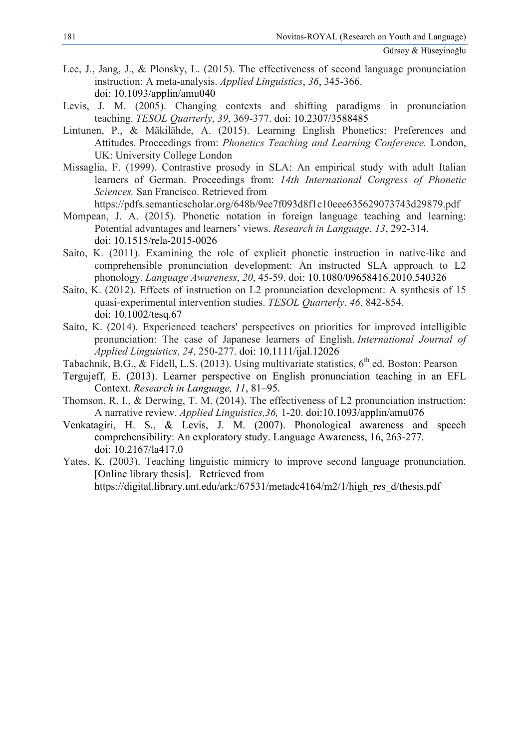- Lee, J., Jang, J., & Plonsky, L. (2015). The effectiveness of second language pronunciation instruction: A meta-analysis. *Applied Linguistics*, *36*, 345-366. doi: 10.1093/applin/amu040
- Levis, J. M. (2005). Changing contexts and shifting paradigms in pronunciation teaching. *TESOL Quarterly*, *39*, 369-377. doi: 10.2307/3588485
- Lintunen, P., & Mäkilähde, A. (2015). Learning English Phonetics: Preferences and Attitudes. Proceedings from: *Phonetics Teaching and Learning Conference.* London, UK: University College London
- Missaglia, F. (1999). Contrastive prosody in SLA: An empirical study with adult Italian learners of German. Proceedings from: *14th International Congress of Phonetic Sciences.* San Francisco. Retrieved from

https://pdfs.semanticscholar.org/648b/9ee7f093d8f1c10eee635629073743d29879.pdf

- Mompean, J. A. (2015). Phonetic notation in foreign language teaching and learning: Potential advantages and learners' views. *Research in Language*, *13*, 292-314. doi: 10.1515/rela-2015-0026
- Saito, K. (2011). Examining the role of explicit phonetic instruction in native-like and comprehensible pronunciation development: An instructed SLA approach to L2 phonology. *Language Awareness*, *20*, 45-59. doi: 10.1080/09658416.2010.540326
- Saito, K. (2012). Effects of instruction on L2 pronunciation development: A synthesis of 15 quasi-experimental intervention studies. *TESOL Quarterly*, *46*, 842-854. doi: 10.1002/tesq.67
- Saito, K. (2014). Experienced teachers' perspectives on priorities for improved intelligible pronunciation: The case of Japanese learners of English. *International Journal of Applied Linguistics*, *24*, 250-277. doi: 10.1111/ijal.12026
- Tabachnik, B.G., & Fidell, L.S. (2013). Using multivariate statistics,  $6<sup>th</sup>$  ed. Boston: Pearson
- Tergujeff, E. (2013). Learner perspective on English pronunciation teaching in an EFL Context. *Research in Language, 11*, 81–95.
- Thomson, R. I., & Derwing, T. M. (2014). The effectiveness of L2 pronunciation instruction: A narrative review. *Applied Linguistics,36,* 1-20. doi:10.1093/applin/amu076
- Venkatagiri, H. S., & Levis, J. M. (2007). Phonological awareness and speech comprehensibility: An exploratory study. Language Awareness, 16, 263-277. doi: 10.2167/la417.0
- Yates, K. (2003). Teaching linguistic mimicry to improve second language pronunciation. [Online library thesis]. Retrieved from https://digital.library.unt.edu/ark:/67531/metadc4164/m2/1/high\_res\_d/thesis.pdf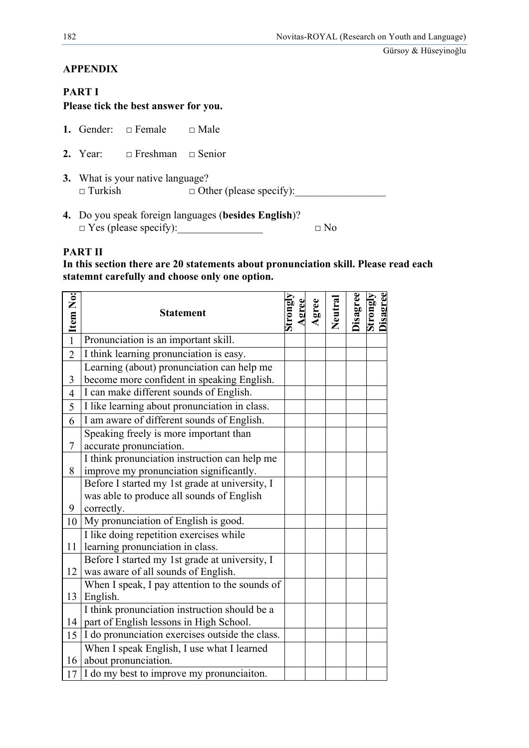Gürsoy & Hüseyinoğlu

## **APPENDIX**

# **PART I**

**Please tick the best answer for you.**

- **1.** Gender:  $\Box$  Female  $\Box$  Male
- **2.** Year: □ Freshman □ Senior
- **3.** What is your native language?<br> $\square$  Turkish  $\square$  Otl  $\Box$  Other (please specify):
- **4.** Do you speak foreign languages (**besides English**)?  $\Box$  Yes (please specify):  $\Box$  No

# **PART II**

# **In this section there are 20 statements about pronunciation skill. Please read each statemnt carefully and choose only one option.**

| $\overline{\phantom{a}}$ = Item No: | <b>Statement</b>                                | Strongly | Agree | Neutral | Disagree | <b>Disagree</b><br>trongly |
|-------------------------------------|-------------------------------------------------|----------|-------|---------|----------|----------------------------|
|                                     | Pronunciation is an important skill.            |          |       |         |          |                            |
| $\overline{2}$                      | I think learning pronunciation is easy.         |          |       |         |          |                            |
|                                     | Learning (about) pronunciation can help me      |          |       |         |          |                            |
| $\overline{3}$                      | become more confident in speaking English.      |          |       |         |          |                            |
| $\overline{4}$                      | I can make different sounds of English.         |          |       |         |          |                            |
| 5                                   | I like learning about pronunciation in class.   |          |       |         |          |                            |
| 6                                   | I am aware of different sounds of English.      |          |       |         |          |                            |
|                                     | Speaking freely is more important than          |          |       |         |          |                            |
| $\overline{7}$                      | accurate pronunciation.                         |          |       |         |          |                            |
|                                     | I think pronunciation instruction can help me   |          |       |         |          |                            |
| 8                                   | improve my pronunciation significantly.         |          |       |         |          |                            |
|                                     | Before I started my 1st grade at university, I  |          |       |         |          |                            |
|                                     | was able to produce all sounds of English       |          |       |         |          |                            |
| 9                                   | correctly.                                      |          |       |         |          |                            |
| 10                                  | My pronunciation of English is good.            |          |       |         |          |                            |
|                                     | I like doing repetition exercises while         |          |       |         |          |                            |
| 11                                  | learning pronunciation in class.                |          |       |         |          |                            |
|                                     | Before I started my 1st grade at university, I  |          |       |         |          |                            |
| 12                                  | was aware of all sounds of English.             |          |       |         |          |                            |
|                                     | When I speak, I pay attention to the sounds of  |          |       |         |          |                            |
| 13                                  | English.                                        |          |       |         |          |                            |
|                                     | I think pronunciation instruction should be a   |          |       |         |          |                            |
|                                     | 14   part of English lessons in High School.    |          |       |         |          |                            |
| 15                                  | I do pronunciation exercises outside the class. |          |       |         |          |                            |
|                                     | When I speak English, I use what I learned      |          |       |         |          |                            |
| 16                                  | about pronunciation.                            |          |       |         |          |                            |
| 17                                  | I do my best to improve my pronunciaiton.       |          |       |         |          |                            |